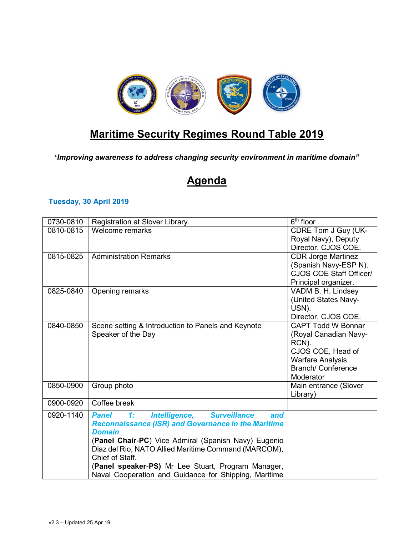

## Maritime Security Regimes Round Table 2019

'Improving awareness to address changing security environment in maritime domain"

## **Agenda**

## Tuesday, 30 April 2019

| 0730-0810 | Registration at Slover Library.                                                                             | $6th$ floor                                      |
|-----------|-------------------------------------------------------------------------------------------------------------|--------------------------------------------------|
| 0810-0815 | Welcome remarks                                                                                             | CDRE Tom J Guy (UK-                              |
|           |                                                                                                             | Royal Navy), Deputy                              |
| 0815-0825 | <b>Administration Remarks</b>                                                                               | Director, CJOS COE.<br><b>CDR Jorge Martinez</b> |
|           |                                                                                                             | (Spanish Navy-ESP N).                            |
|           |                                                                                                             | CJOS COE Staff Officer/                          |
|           |                                                                                                             | Principal organizer.                             |
| 0825-0840 | Opening remarks                                                                                             | VADM B. H. Lindsey                               |
|           |                                                                                                             | (United States Navy-                             |
|           |                                                                                                             | USN).<br>Director, CJOS COE.                     |
| 0840-0850 | Scene setting & Introduction to Panels and Keynote                                                          | <b>CAPT Todd W Bonnar</b>                        |
|           | Speaker of the Day                                                                                          | (Royal Canadian Navy-                            |
|           |                                                                                                             | RCN).                                            |
|           |                                                                                                             | CJOS COE, Head of                                |
|           |                                                                                                             | <b>Warfare Analysis</b>                          |
|           |                                                                                                             | <b>Branch/Conference</b>                         |
| 0850-0900 | Group photo                                                                                                 | Moderator                                        |
|           |                                                                                                             | Main entrance (Slover<br>Library)                |
| 0900-0920 | Coffee break                                                                                                |                                                  |
| 0920-1140 | <b>Surveillance</b><br>1:<br>Intelligence,<br><b>Panel</b><br>and                                           |                                                  |
|           | <b>Reconnaissance (ISR) and Governance in the Maritime</b>                                                  |                                                  |
|           | <b>Domain</b>                                                                                               |                                                  |
|           | (Panel Chair-PC) Vice Admiral (Spanish Navy) Eugenio                                                        |                                                  |
|           | Diaz del Rio, NATO Allied Maritime Command (MARCOM),                                                        |                                                  |
|           | Chief of Staff.                                                                                             |                                                  |
|           | (Panel speaker-PS) Mr Lee Stuart, Program Manager,<br>Naval Cooperation and Guidance for Shipping, Maritime |                                                  |
|           |                                                                                                             |                                                  |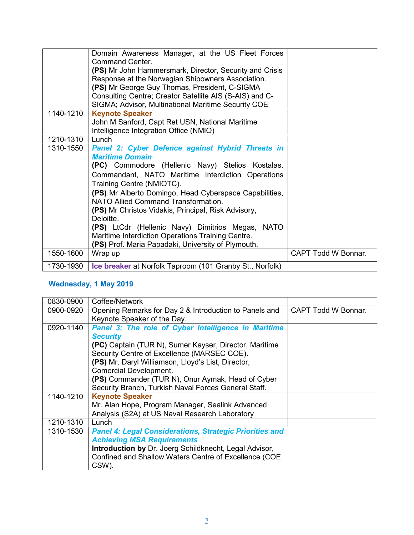|           | Domain Awareness Manager, at the US Fleet Forces         |                            |
|-----------|----------------------------------------------------------|----------------------------|
|           | Command Center                                           |                            |
|           | (PS) Mr John Hammersmark, Director, Security and Crisis  |                            |
|           | Response at the Norwegian Shipowners Association.        |                            |
|           | (PS) Mr George Guy Thomas, President, C-SIGMA            |                            |
|           | Consulting Centre; Creator Satellite AIS (S-AIS) and C-  |                            |
|           | SIGMA; Advisor, Multinational Maritime Security COE      |                            |
| 1140-1210 | <b>Keynote Speaker</b>                                   |                            |
|           | John M Sanford, Capt Ret USN, National Maritime          |                            |
|           | Intelligence Integration Office (NMIO)                   |                            |
| 1210-1310 | Lunch                                                    |                            |
| 1310-1550 | Panel 2: Cyber Defence against Hybrid Threats in         |                            |
|           | <b>Maritime Domain</b>                                   |                            |
|           | (PC) Commodore (Hellenic Navy) Stelios Kostalas.         |                            |
|           | Commandant, NATO Maritime Interdiction Operations        |                            |
|           | Training Centre (NMIOTC).                                |                            |
|           | (PS) Mr Alberto Domingo, Head Cyberspace Capabilities,   |                            |
|           | NATO Allied Command Transformation.                      |                            |
|           | (PS) Mr Christos Vidakis, Principal, Risk Advisory,      |                            |
|           | Deloitte.                                                |                            |
|           | (PS) LtCdr (Hellenic Navy) Dimitrios Megas, NATO         |                            |
|           | Maritime Interdiction Operations Training Centre.        |                            |
|           | (PS) Prof. Maria Papadaki, University of Plymouth.       |                            |
| 1550-1600 |                                                          | <b>CAPT Todd W Bonnar.</b> |
|           | Wrap up                                                  |                            |
| 1730-1930 | Ice breaker at Norfolk Taproom (101 Granby St., Norfolk) |                            |

## Wednesday, 1 May 2019

| 0830-0900 | Coffee/Network                                                 |                            |
|-----------|----------------------------------------------------------------|----------------------------|
| 0900-0920 | Opening Remarks for Day 2 & Introduction to Panels and         | <b>CAPT Todd W Bonnar.</b> |
|           | Keynote Speaker of the Day.                                    |                            |
| 0920-1140 | Panel 3: The role of Cyber Intelligence in Maritime            |                            |
|           | <b>Security</b>                                                |                            |
|           | (PC) Captain (TUR N), Sumer Kayser, Director, Maritime         |                            |
|           | Security Centre of Excellence (MARSEC COE).                    |                            |
|           | (PS) Mr. Daryl Williamson, Lloyd's List, Director,             |                            |
|           | <b>Comercial Development.</b>                                  |                            |
|           | (PS) Commander (TUR N), Onur Aymak, Head of Cyber              |                            |
|           | Security Branch, Turkish Naval Forces General Staff.           |                            |
| 1140-1210 | <b>Keynote Speaker</b>                                         |                            |
|           | Mr. Alan Hope, Program Manager, Sealink Advanced               |                            |
|           | Analysis (S2A) at US Naval Research Laboratory                 |                            |
| 1210-1310 | Lunch                                                          |                            |
| 1310-1530 | <b>Panel 4: Legal Considerations, Strategic Priorities and</b> |                            |
|           | <b>Achieving MSA Requirements</b>                              |                            |
|           | Introduction by Dr. Joerg Schildknecht, Legal Advisor,         |                            |
|           | Confined and Shallow Waters Centre of Excellence (COE          |                            |
|           | CSW).                                                          |                            |